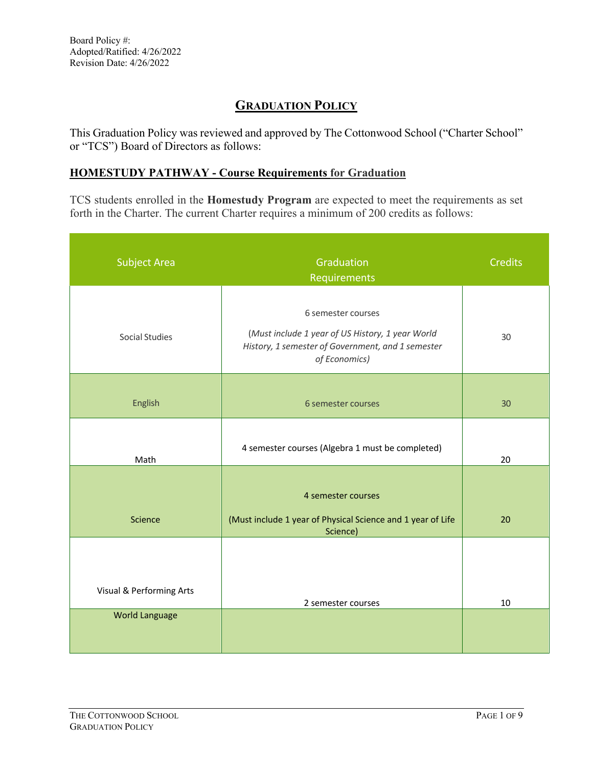# **GRADUATION POLICY**

This Graduation Policy was reviewed and approved by The Cottonwood School ("Charter School" or "TCS") Board of Directors as follows:

# **HOMESTUDY PATHWAY - Course Requirements for Graduation**

TCS students enrolled in the **Homestudy Program** are expected to meet the requirements as set forth in the Charter. The current Charter requires a minimum of 200 credits as follows:

| Graduation<br>Requirements                                                                                                                   | <b>Credits</b> |
|----------------------------------------------------------------------------------------------------------------------------------------------|----------------|
| 6 semester courses<br>(Must include 1 year of US History, 1 year World<br>History, 1 semester of Government, and 1 semester<br>of Economics) | 30             |
| 6 semester courses                                                                                                                           | 30             |
| 4 semester courses (Algebra 1 must be completed)                                                                                             | 20             |
| 4 semester courses<br>(Must include 1 year of Physical Science and 1 year of Life<br>Science)                                                | 20             |
| 2 semester courses                                                                                                                           | 10             |
|                                                                                                                                              |                |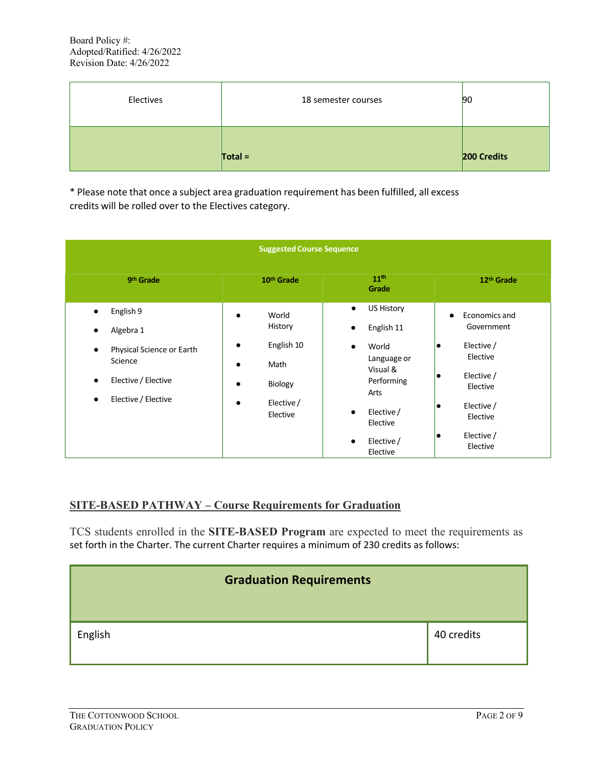| Electives | 18 semester courses | 90          |
|-----------|---------------------|-------------|
|           | $Total =$           | 200 Credits |

\* Please note that once a subject area graduation requirement has been fulfilled, all excess credits will be rolled over to the Electives category.

| <b>Suggested Course Sequence</b>                                                                                                                                 |                                                                                                                                              |                                                                                                                                                            |                                                                                                                                          |
|------------------------------------------------------------------------------------------------------------------------------------------------------------------|----------------------------------------------------------------------------------------------------------------------------------------------|------------------------------------------------------------------------------------------------------------------------------------------------------------|------------------------------------------------------------------------------------------------------------------------------------------|
| 9 <sup>th</sup> Grade                                                                                                                                            | 10 <sup>th</sup> Grade                                                                                                                       | 11 <sup>th</sup><br>Grade                                                                                                                                  | 12 <sup>th</sup> Grade                                                                                                                   |
| English 9<br>$\bullet$<br>Algebra 1<br>Physical Science or Earth<br>$\bullet$<br>Science<br>Elective / Elective<br>$\bullet$<br>Elective / Elective<br>$\bullet$ | World<br>$\bullet$<br>History<br>English 10<br>$\bullet$<br>Math<br>$\bullet$<br>Biology<br>$\bullet$<br>Elective /<br>$\bullet$<br>Elective | <b>US History</b><br>$\bullet$<br>English 11<br>World<br>$\bullet$<br>Language or<br>Visual &<br>Performing<br>Arts<br>Elective /<br>$\bullet$<br>Elective | Economics and<br>$\bullet$<br>Government<br>Elective /<br>lo<br>Elective<br>Elective /<br>lo<br>Elective<br>Elective /<br>lo<br>Elective |
|                                                                                                                                                                  |                                                                                                                                              | Elective /<br>$\bullet$<br>Elective                                                                                                                        | Elective /<br>lo<br>Elective                                                                                                             |

#### **SITE-BASED PATHWAY – Course Requirements for Graduation**

TCS students enrolled in the **SITE-BASED Program** are expected to meet the requirements as set forth in the Charter. The current Charter requires a minimum of 230 credits as follows:

| <b>Graduation Requirements</b> |            |
|--------------------------------|------------|
| English                        | 40 credits |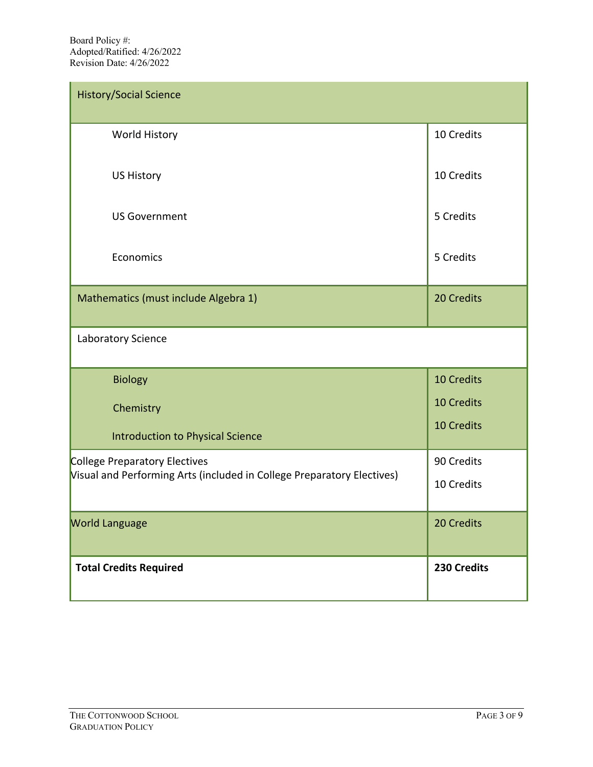| <b>History/Social Science</b>                                          |             |
|------------------------------------------------------------------------|-------------|
| <b>World History</b>                                                   | 10 Credits  |
| <b>US History</b>                                                      | 10 Credits  |
| <b>US Government</b>                                                   | 5 Credits   |
| Economics                                                              | 5 Credits   |
| Mathematics (must include Algebra 1)                                   | 20 Credits  |
| Laboratory Science                                                     |             |
| Biology                                                                | 10 Credits  |
| Chemistry                                                              | 10 Credits  |
| <b>Introduction to Physical Science</b>                                | 10 Credits  |
| College Preparatory Electives                                          | 90 Credits  |
| Visual and Performing Arts (included in College Preparatory Electives) | 10 Credits  |
| <b>World Language</b>                                                  | 20 Credits  |
| <b>Total Credits Required</b>                                          | 230 Credits |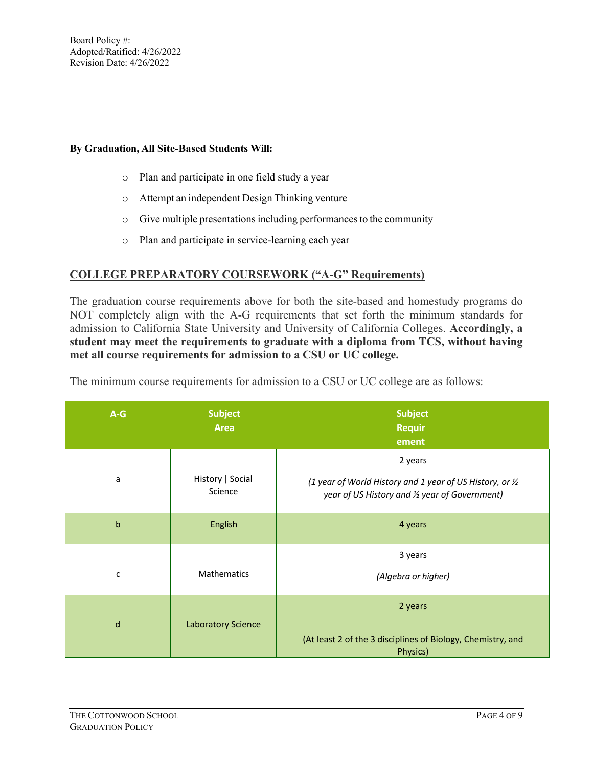#### **By Graduation, All Site-Based Students Will:**

- o Plan and participate in one field study a year
- o Attempt an independent Design Thinking venture
- o Give multiple presentationsincluding performancesto the community
- o Plan and participate in service-learning each year

#### **COLLEGE PREPARATORY COURSEWORK ("A-G" Requirements)**

The graduation course requirements above for both the site-based and homestudy programs do NOT completely align with the A-G requirements that set forth the minimum standards for admission to California State University and University of California Colleges. **Accordingly, a student may meet the requirements to graduate with a diploma from TCS, without having met all course requirements for admission to a CSU or UC college.** 

| $A-G$        | <b>Subject</b><br><b>Area</b> | <b>Subject</b><br><b>Requir</b><br>ement                                                                               |
|--------------|-------------------------------|------------------------------------------------------------------------------------------------------------------------|
| a            | History   Social<br>Science   | 2 years<br>(1 year of World History and 1 year of US History, or 1/2<br>year of US History and 1/2 year of Government) |
| b            | English                       | 4 years                                                                                                                |
| $\mathsf{C}$ | <b>Mathematics</b>            | 3 years<br>(Algebra or higher)                                                                                         |
| d            | <b>Laboratory Science</b>     | 2 years<br>(At least 2 of the 3 disciplines of Biology, Chemistry, and<br>Physics)                                     |

The minimum course requirements for admission to a CSU or UC college are as follows: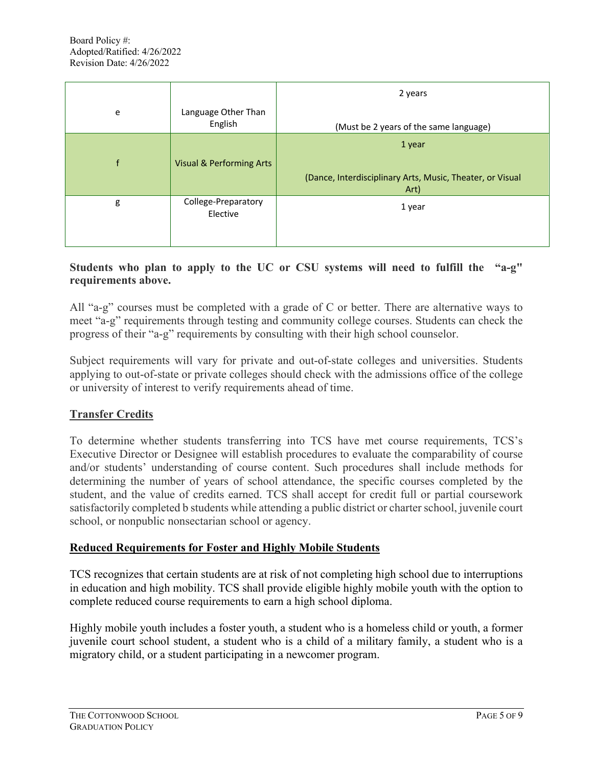|              |                                     | 2 years                                                                     |
|--------------|-------------------------------------|-----------------------------------------------------------------------------|
| e            | Language Other Than<br>English      | (Must be 2 years of the same language)                                      |
| $\mathsf{f}$ | <b>Visual &amp; Performing Arts</b> | 1 year<br>(Dance, Interdisciplinary Arts, Music, Theater, or Visual<br>Art) |
| g            | College-Preparatory<br>Elective     | 1 year                                                                      |

### **Students who plan to apply to the UC or CSU systems will need to fulfill the "a-g" requirements above.**

All "a-g" courses must be completed with a grade of C or better. There are alternative ways to meet "a-g" requirements through testing and community college courses. Students can check the progress of their "a-g" requirements by consulting with their high school counselor.

Subject requirements will vary for private and out-of-state colleges and universities. Students applying to out-of-state or private colleges should check with the admissions office of the college or university of interest to verify requirements ahead of time.

# **Transfer Credits**

To determine whether students transferring into TCS have met course requirements, TCS's Executive Director or Designee will establish procedures to evaluate the comparability of course and/or students' understanding of course content. Such procedures shall include methods for determining the number of years of school attendance, the specific courses completed by the student, and the value of credits earned. TCS shall accept for credit full or partial coursework satisfactorily completed b students while attending a public district or charter school, juvenile court school, or nonpublic nonsectarian school or agency.

### **Reduced Requirements for Foster and Highly Mobile Students**

TCS recognizes that certain students are at risk of not completing high school due to interruptions in education and high mobility. TCS shall provide eligible highly mobile youth with the option to complete reduced course requirements to earn a high school diploma.

Highly mobile youth includes a foster youth, a student who is a homeless child or youth, a former juvenile court school student, a student who is a child of a military family, a student who is a migratory child, or a student participating in a newcomer program.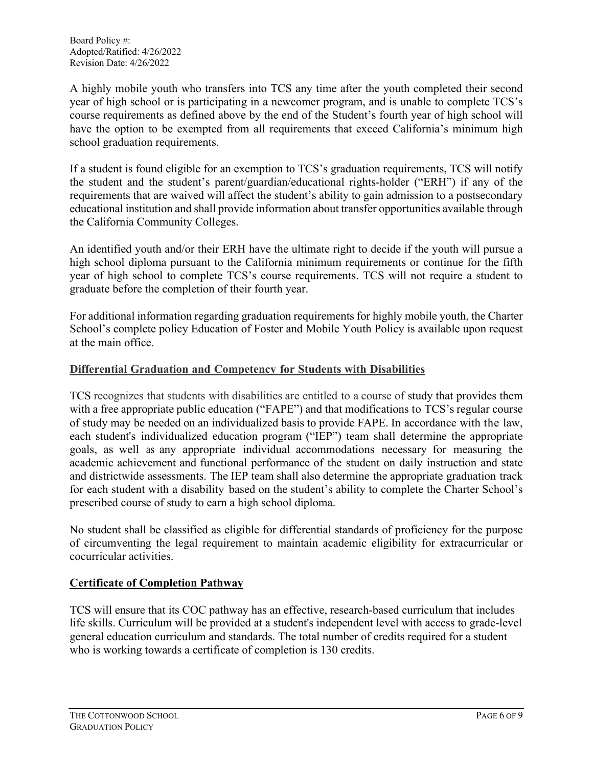A highly mobile youth who transfers into TCS any time after the youth completed their second year of high school or is participating in a newcomer program, and is unable to complete TCS's course requirements as defined above by the end of the Student's fourth year of high school will have the option to be exempted from all requirements that exceed California's minimum high school graduation requirements.

If a student is found eligible for an exemption to TCS's graduation requirements, TCS will notify the student and the student's parent/guardian/educational rights-holder ("ERH") if any of the requirements that are waived will affect the student's ability to gain admission to a postsecondary educational institution and shall provide information about transfer opportunities available through the California Community Colleges.

An identified youth and/or their ERH have the ultimate right to decide if the youth will pursue a high school diploma pursuant to the California minimum requirements or continue for the fifth year of high school to complete TCS's course requirements. TCS will not require a student to graduate before the completion of their fourth year.

For additional information regarding graduation requirements for highly mobile youth, the Charter School's complete policy Education of Foster and Mobile Youth Policy is available upon request at the main office.

### **Differential Graduation and Competency for Students with Disabilities**

TCS recognizes that students with disabilities are entitled to a course of study that provides them with a free appropriate public education ("FAPE") and that modifications to TCS's regular course of study may be needed on an individualized basis to provide FAPE. In accordance with the law, each student's individualized education program ("IEP") team shall determine the appropriate goals, as well as any appropriate individual accommodations necessary for measuring the academic achievement and functional performance of the student on daily instruction and state and districtwide assessments. The IEP team shall also determine the appropriate graduation track for each student with a disability based on the student's ability to complete the Charter School's prescribed course of study to earn a high school diploma.

No student shall be classified as eligible for differential standards of proficiency for the purpose of circumventing the legal requirement to maintain academic eligibility for extracurricular or cocurricular activities.

# **Certificate of Completion Pathway**

TCS will ensure that its COC pathway has an effective, research-based curriculum that includes life skills. Curriculum will be provided at a student's independent level with access to grade-level general education curriculum and standards. The total number of credits required for a student who is working towards a certificate of completion is 130 credits.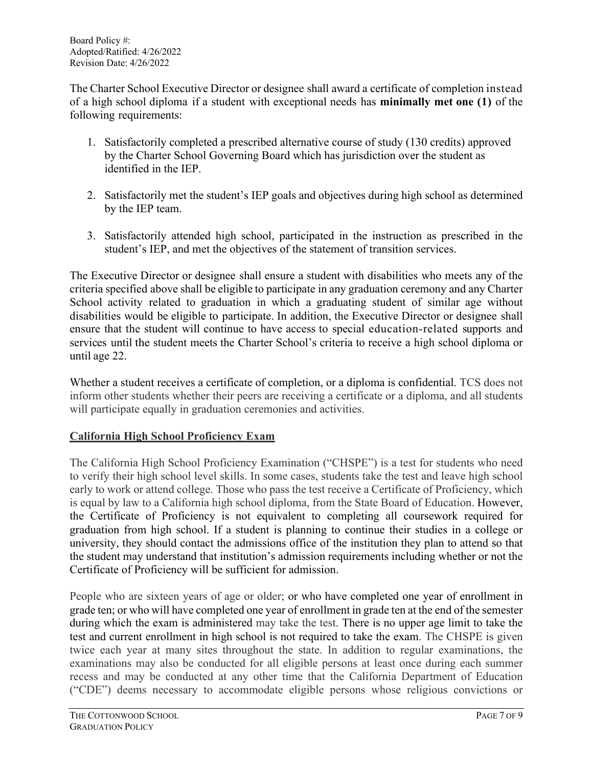The Charter School Executive Director or designee shall award a certificate of completion instead of a high school diploma if a student with exceptional needs has **minimally met one (1)** of the following requirements:

- 1. Satisfactorily completed a prescribed alternative course of study (130 credits) approved by the Charter School Governing Board which has jurisdiction over the student as identified in the IEP.
- 2. Satisfactorily met the student's IEP goals and objectives during high school as determined by the IEP team.
- 3. Satisfactorily attended high school, participated in the instruction as prescribed in the student's IEP, and met the objectives of the statement of transition services.

The Executive Director or designee shall ensure a student with disabilities who meets any of the criteria specified above shall be eligible to participate in any graduation ceremony and any Charter School activity related to graduation in which a graduating student of similar age without disabilities would be eligible to participate. In addition, the Executive Director or designee shall ensure that the student will continue to have access to special education-related supports and services until the student meets the Charter School's criteria to receive a high school diploma or until age 22.

Whether a student receives a certificate of completion, or a diploma is confidential. TCS does not inform other students whether their peers are receiving a certificate or a diploma, and all students will participate equally in graduation ceremonies and activities.

# **California High School Proficiency Exam**

The California High School Proficiency Examination ("CHSPE") is a test for students who need to verify their high school level skills. In some cases, students take the test and leave high school early to work or attend college. Those who pass the test receive a Certificate of Proficiency, which is equal by law to a California high school diploma, from the State Board of Education. However, the Certificate of Proficiency is not equivalent to completing all coursework required for graduation from high school. If a student is planning to continue their studies in a college or university, they should contact the admissions office of the institution they plan to attend so that the student may understand that institution's admission requirements including whether or not the Certificate of Proficiency will be sufficient for admission.

People who are sixteen years of age or older; or who have completed one year of enrollment in grade ten; or who will have completed one year of enrollment in grade ten at the end of the semester during which the exam is administered may take the test. There is no upper age limit to take the test and current enrollment in high school is not required to take the exam. The CHSPE is given twice each year at many sites throughout the state. In addition to regular examinations, the examinations may also be conducted for all eligible persons at least once during each summer recess and may be conducted at any other time that the California Department of Education ("CDE") deems necessary to accommodate eligible persons whose religious convictions or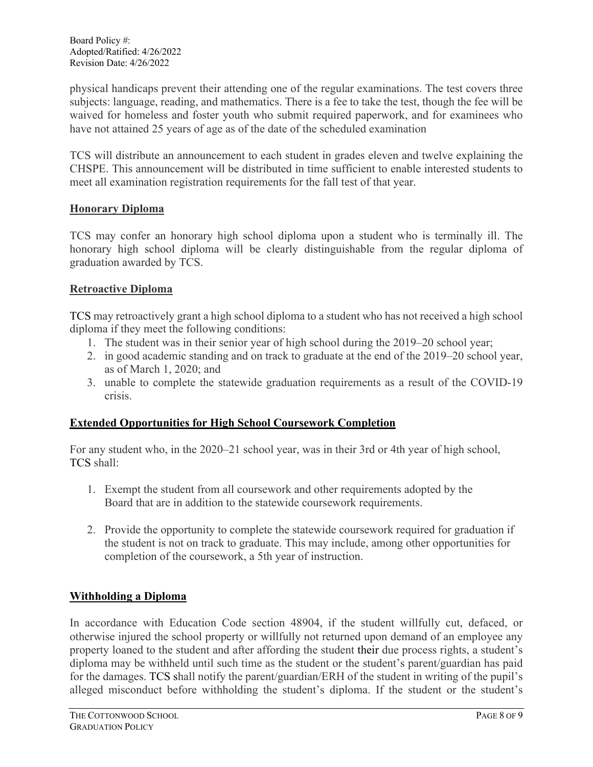physical handicaps prevent their attending one of the regular examinations. The test covers three subjects: language, reading, and mathematics. There is a fee to take the test, though the fee will be waived for homeless and foster youth who submit required paperwork, and for examinees who have not attained 25 years of age as of the date of the scheduled examination

TCS will distribute an announcement to each student in grades eleven and twelve explaining the CHSPE. This announcement will be distributed in time sufficient to enable interested students to meet all examination registration requirements for the fall test of that year.

### **Honorary Diploma**

TCS may confer an honorary high school diploma upon a student who is terminally ill. The honorary high school diploma will be clearly distinguishable from the regular diploma of graduation awarded by TCS.

### **Retroactive Diploma**

TCS may retroactively grant a high school diploma to a student who has not received a high school diploma if they meet the following conditions:

- 1. The student was in their senior year of high school during the 2019–20 school year;
- 2. in good academic standing and on track to graduate at the end of the 2019–20 school year, as of March 1, 2020; and
- 3. unable to complete the statewide graduation requirements as a result of the COVID-19 crisis.

# **Extended Opportunities for High School Coursework Completion**

For any student who, in the 2020–21 school year, was in their 3rd or 4th year of high school, TCS shall:

- 1. Exempt the student from all coursework and other requirements adopted by the Board that are in addition to the statewide coursework requirements.
- 2. Provide the opportunity to complete the statewide coursework required for graduation if the student is not on track to graduate. This may include, among other opportunities for completion of the coursework, a 5th year of instruction.

# **Withholding a Diploma**

In accordance with Education Code section 48904, if the student willfully cut, defaced, or otherwise injured the school property or willfully not returned upon demand of an employee any property loaned to the student and after affording the student their due process rights, a student's diploma may be withheld until such time as the student or the student's parent/guardian has paid for the damages. TCS shall notify the parent/guardian/ERH of the student in writing of the pupil's alleged misconduct before withholding the student's diploma. If the student or the student's